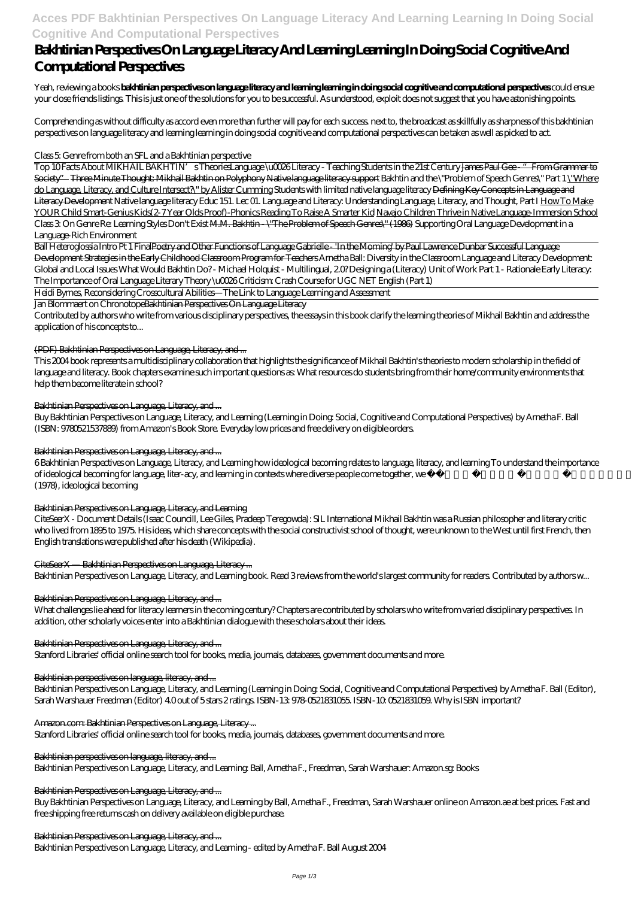# **Acces PDF Bakhtinian Perspectives On Language Literacy And Learning Learning In Doing Social Cognitive And Computational Perspectives**

# **Bakhtinian Perspectives On Language Literacy And Learning Learning In Doing Social Cognitive And Computational Perspectives**

Yeah, reviewing a books **bakhtinian perspectives on language literacy and learning learning in doing social cognitive and computational perspectives** could ensue your close friends listings. This is just one of the solutions for you to be successful. As understood, exploit does not suggest that you have astonishing points.

Comprehending as without difficulty as accord even more than further will pay for each success. next to, the broadcast as skillfully as sharpness of this bakhtinian perspectives on language literacy and learning learning in doing social cognitive and computational perspectives can be taken as well as picked to act.

### Class 5: Genre from both an SFL and a Bakhtinian perspective

Top 10 Facts About MIKHAIL BAKHTIN's Theories*Language \u0026 Literacy - Teaching Students in the 21st Century* James Paul Gee - "From Grammar to Society" Three Minute Thought: Mikhail Bakhtin on Polyphony Native language literacy support Bakhtin and the \"Problem of Speech Genres\" Part 1 \"Where do Language, Literacy, and Culture Intersect?\" by Alister Cumming *Students with limited native language literacy* Defining Key Concepts in Language and Literacy Development *Native language literacy Educ 151. Lec 01. Language and Literacy: Understanding Language, Literacy, and Thought, Part I* How To Make YOUR Child Smart-Genius Kids(2-7 Year Olds Proof)-Phonics Reading To Raise A Smarter Kid Navajo Children Thrive in Native Language-Immersion School Class 3: On Genre *Re: Learning Styles Don't Exist* M.M. Bakhtin - \"The Problem of Speech Genres\" (1986) *Supporting Oral Language Development in a Language-Rich Environment*

Ball Heteroglossia Intro Pt 1 FinalPoetry and Other Functions of Language Gabrielle - 'In the Morning' by Paul Lawrence Dunbar Successful Language Development Strategies in the Early Childhood Classroom Program for Teachers Arnetha Ball: Diversity in the Classroom *Language and Literacy Development: Global and Local Issues* What Would Bakhtin Do? - Michael Holquist - Multilingual, 2.0? *Designing a (Literacy) Unit of Work Part 1 - Rationale Early Literacy: The Importance of Oral Language Literary Theory \u0026 Criticism: Crash Course for UGC NET English (Part 1)*

Heidi Byrnes, Reconsidering Crosscultural Abilities—The Link to Language Learning and Assessment

### Jan Blommaert on ChronotopeBakhtinian Perspectives On Language Literacy

Contributed by authors who write from various disciplinary perspectives, the essays in this book clarify the learning theories of Mikhail Bakhtin and address the application of his concepts to...

### (PDF) Bakhtinian Perspectives on Language, Literacy, and ...

This 2004 book represents a multidisciplinary collaboration that highlights the significance of Mikhail Bakhtin's theories to modern scholarship in the field of language and literacy. Book chapters examine such important questions as: What resources do students bring from their home/community environments that help them become literate in school?

### Bakhtinian Perspectives on Language, Literacy, and ...

Buy Bakhtinian Perspectives on Language, Literacy, and Learning (Learning in Doing: Social, Cognitive and Computational Perspectives) by Arnetha F. Ball (ISBN: 9780521537889) from Amazon's Book Store. Everyday low prices and free delivery on eligible orders.

### Bakhtinian Perspectives on Language, Literacy, and ...

6 Bakhtinian Perspectives on Language, Literacy, and Learning how ideological becoming relates to language, literacy, and learning To understand the importance of ideological becoming for language, liter-acy, and learning in contexts where diverse people come together, we first note that according to Bakhtin/Medvedev (1978), ideological becoming

### Bakhtinian Perspectives on Language, Literacy, and Learning

CiteSeerX - Document Details (Isaac Councill, Lee Giles, Pradeep Teregowda): SIL International Mikhail Bakhtin was a Russian philosopher and literary critic who lived from 1895 to 1975. His ideas, which share concepts with the social constructivist school of thought, were unknown to the West until first French, then English translations were published after his death (Wikipedia).

### CiteSeerX — Bakhtinian Perspectives on Language, Literacy ...

Bakhtinian Perspectives on Language, Literacy, and Learning book. Read 3 reviews from the world's largest community for readers. Contributed by authors w...

### Bakhtinian Perspectives on Language, Literacy, and ...

What challenges lie ahead for literacy learners in the coming century? Chapters are contributed by scholars who write from varied disciplinary perspectives. In addition, other scholarly voices enter into a Bakhtinian dialogue with these scholars about their ideas.

### Bakhtinian Perspectives on Language, Literacy, and ...

Stanford Libraries' official online search tool for books, media, journals, databases, government documents and more.

### Bakhtinian perspectives on language, literacy, and ...

Bakhtinian Perspectives on Language, Literacy, and Learning (Learning in Doing: Social, Cognitive and Computational Perspectives) by Arnetha F. Ball (Editor), Sarah Warshauer Freedman (Editor) 4.0 out of 5 stars 2 ratings. ISBN-13: 978-0521831055. ISBN-10: 0521831059. Why is ISBN important?

### Amazon.com: Bakhtinian Perspectives on Language, Literacy ...

Stanford Libraries' official online search tool for books, media, journals, databases, government documents and more.

### Bakhtinian perspectives on language, literacy, and ...

Bakhtinian Perspectives on Language, Literacy, and Learning: Ball, Arnetha F., Freedman, Sarah Warshauer: Amazon.sg: Books

### Bakhtinian Perspectives on Language, Literacy, and ...

Buy Bakhtinian Perspectives on Language, Literacy, and Learning by Ball, Arnetha F., Freedman, Sarah Warshauer online on Amazon.ae at best prices. Fast and free shipping free returns cash on delivery available on eligible purchase.

Bakhtinian Perspectives on Language, Literacy, and ...

Bakhtinian Perspectives on Language, Literacy, and Learning - edited by Arnetha F. Ball August 2004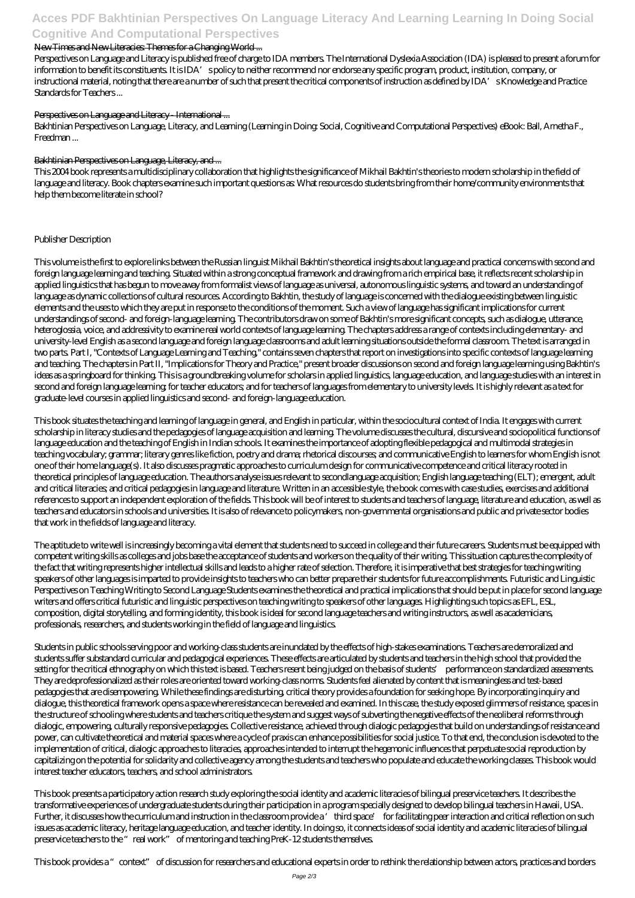# **Acces PDF Bakhtinian Perspectives On Language Literacy And Learning Learning In Doing Social Cognitive And Computational Perspectives**

### New Times and New Literacies: Themes for a Changing World ...

Perspectives on Language and Literacy is published free of charge to IDA members. The International Dyslexia Association (IDA) is pleased to present a forum for information to benefit its constituents. It is IDA's policy to neither recommend nor endorse any specific program, product, institution, company, or instructional material, noting that there are a number of such that present the critical components of instruction as defined by IDA's Knowledge and Practice Standards for Teachers ...

### Perspectives on Language and Literacy - International ...

Bakhtinian Perspectives on Language, Literacy, and Learning (Learning in Doing: Social, Cognitive and Computational Perspectives) eBook: Ball, Arnetha F., Freedman ...

### Bakhtinian Perspectives on Language, Literacy, and ...

This 2004 book represents a multidisciplinary collaboration that highlights the significance of Mikhail Bakhtin's theories to modern scholarship in the field of language and literacy. Book chapters examine such important questions as: What resources do students bring from their home/community environments that help them become literate in school?

### Publisher Description

This volume is the first to explore links between the Russian linguist Mikhail Bakhtin's theoretical insights about language and practical concerns with second and foreign language learning and teaching. Situated within a strong conceptual framework and drawing from a rich empirical base, it reflects recent scholarship in applied linguistics that has begun to move away from formalist views of language as universal, autonomous linguistic systems, and toward an understanding of language as dynamic collections of cultural resources. According to Bakhtin, the study of language is concerned with the dialogue existing between linguistic elements and the uses to which they are put in response to the conditions of the moment. Such a view of language has significant implications for current understandings of second- and foreign-language learning. The contributors draw on some of Bakhtin's more significant concepts, such as dialogue, utterance, heteroglossia, voice, and addressivity to examine real world contexts of language learning. The chapters address a range of contexts including elementary- and university-level English as a second language and foreign language classrooms and adult learning situations outside the formal classroom. The text is arranged in two parts. Part I, "Contexts of Language Learning and Teaching," contains seven chapters that report on investigations into specific contexts of language learning and teaching. The chapters in Part II, "Implications for Theory and Practice," present broader discussions on second and foreign language learning using Bakhtin's ideas as a springboard for thinking. This is a groundbreaking volume for scholars in applied linguistics, language education, and language studies with an interest in second and foreign language learning; for teacher educators; and for teachers of languages from elementary to university levels. It is highly relevant as a text for graduate-level courses in applied linguistics and second- and foreign-language education.

This book situates the teaching and learning of language in general, and English in particular, within the sociocultural context of India. It engages with current scholarship in literacy studies and the pedagogies of language acquisition and learning. The volume discusses the cultural, discursive and sociopolitical functions of language education and the teaching of English in Indian schools. It examines the importance of adopting flexible pedagogical and multimodal strategies in teaching vocabulary; grammar; literary genres like fiction, poetry and drama; rhetorical discourses; and communicative English to learners for whom English is not one of their home language(s). It also discusses pragmatic approaches to curriculum design for communicative competence and critical literacy rooted in theoretical principles of language education. The authors analyse issues relevant to secondlanguage acquisition; English language teaching (ELT); emergent, adult and critical literacies; and critical pedagogies in language and literature. Written in an accessible style, the book comes with case studies, exercises and additional references to support an independent exploration of the fields. This book will be of interest to students and teachers of language, literature and education, as well as teachers and educators in schools and universities. It is also of relevance to policymakers, non-governmental organisations and public and private sector bodies that work in the fields of language and literacy.

The aptitude to write well is increasingly becoming a vital element that students need to succeed in college and their future careers. Students must be equipped with competent writing skills as colleges and jobs base the acceptance of students and workers on the quality of their writing. This situation captures the complexity of the fact that writing represents higher intellectual skills and leads to a higher rate of selection. Therefore, it is imperative that best strategies for teaching writing speakers of other languages is imparted to provide insights to teachers who can better prepare their students for future accomplishments. Futuristic and Linguistic Perspectives on Teaching Writing to Second Language Students examines the theoretical and practical implications that should be put in place for second language writers and offers critical futuristic and linguistic perspectives on teaching writing to speakers of other languages. Highlighting such topics as EFL, ESL, composition, digital storytelling, and forming identity, this book is ideal for second language teachers and writing instructors, as well as academicians, professionals, researchers, and students working in the field of language and linguistics.

Students in public schools serving poor and working-class students are inundated by the effects of high-stakes examinations. Teachers are demoralized and students suffer substandard curricular and pedagogical experiences. These effects are articulated by students and teachers in the high school that provided the setting for the critical ethnography on which this text is based. Teachers resent being judged on the basis of students' performance on standardized assessments. They are deprofessionalized as their roles are oriented toward working-class norms. Students feel alienated by content that is meaningless and test-based pedagogies that are disempowering. While these findings are disturbing, critical theory provides a foundation for seeking hope. By incorporating inquiry and dialogue, this theoretical framework opens a space where resistance can be revealed and examined. In this case, the study exposed glimmers of resistance, spaces in the structure of schooling where students and teachers critique the system and suggest ways of subverting the negative effects of the neoliberal reforms through dialogic, empowering, culturally responsive pedagogies. Collective resistance, achieved through dialogic pedagogies that build on understandings of resistance and power, can cultivate theoretical and material spaces where a cycle of praxis can enhance possibilities for social justice. To that end, the conclusion is devoted to the implementation of critical, dialogic approaches to literacies, approaches intended to interrupt the hegemonic influences that perpetuate social reproduction by capitalizing on the potential for solidarity and collective agency among the students and teachers who populate and educate the working classes. This book would interest teacher educators, teachers, and school administrators.

This book presents a participatory action research study exploring the social identity and academic literacies of bilingual preservice teachers. It describes the transformative experiences of undergraduate students during their participation in a program specially designed to develop bilingual teachers in Hawaii, USA. Further, it discusses how the curriculum and instruction in the classroom provide a 'third space' for facilitating peer interaction and critical reflection on such issues as academic literacy, heritage language education, and teacher identity. In doing so, it connects ideas of social identity and academic literacies of bilingual preservice teachers to the "real work" of mentoring and teaching PreK-12 students themselves.

This book provides a "context" of discussion for researchers and educational experts in order to rethink the relationship between actors, practices and borders